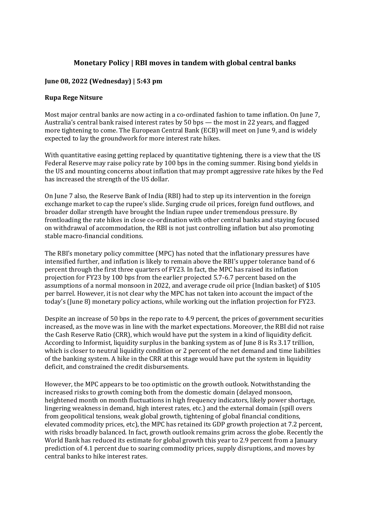## **Monetary Policy | RBI moves in tandem with global central banks**

## **June 08, 2022 (Wednesday) | 5:43 pm**

## **Rupa Rege Nitsure**

Most major central banks are now acting in a co-ordinated fashion to tame inflation. On June 7, Australia's central bank raised interest rates by 50 bps — the most in 22 years, and flagged more tightening to come. The European Central Bank (ECB) will meet on June 9, and is widely expected to lay the groundwork for more interest rate hikes.

With quantitative easing getting replaced by quantitative tightening, there is a view that the US Federal Reserve may raise policy rate by 100 bps in the coming summer. Rising bond yields in the US and mounting concerns about inflation that may prompt aggressive rate hikes by the Fed has increased the strength of the US dollar.

On June 7 also, the Reserve Bank of India (RBI) had to step up its intervention in the foreign exchange market to cap the rupee's slide. Surging crude oil prices, foreign fund outflows, and broader dollar strength have brought the Indian rupee under tremendous pressure. By frontloading the rate hikes in close co-ordination with other central banks and staying focused on withdrawal of accommodation, the RBI is not just controlling inflation but also promoting stable macro-financial conditions.

The RBI's monetary policy committee (MPC) has noted that the inflationary pressures have intensified further, and inflation is likely to remain above the RBI's upper tolerance band of 6 percent through the first three quarters of FY23. In fact, the MPC has raised its inflation projection for FY23 by 100 bps from the earlier projected 5.7-6.7 percent based on the assumptions of a normal monsoon in 2022, and average crude oil price (Indian basket) of \$105 per barrel. However, it is not clear why the MPC has not taken into account the impact of the today's (June 8) monetary policy actions, while working out the inflation projection for FY23.

Despite an increase of 50 bps in the repo rate to 4.9 percent, the prices of government securities increased, as the move was in line with the market expectations. Moreover, the RBI did not raise the Cash Reserve Ratio (CRR), which would have put the system in a kind of liquidity deficit. According to Informist, liquidity surplus in the banking system as of June 8 is Rs 3.17 trillion, which is closer to neutral liquidity condition or 2 percent of the net demand and time liabilities of the banking system. A hike in the CRR at this stage would have put the system in liquidity deficit, and constrained the credit disbursements.

However, the MPC appears to be too optimistic on the growth outlook. Notwithstanding the increased risks to growth coming both from the domestic domain (delayed monsoon, heightened month on month fluctuations in high frequency indicators, likely power shortage, lingering weakness in demand, high interest rates, etc.) and the external domain (spill overs from geopolitical tensions, weak global growth, tightening of global financial conditions, elevated commodity prices, etc), the MPC has retained its GDP growth projection at 7.2 percent, with risks broadly balanced. In fact, growth outlook remains grim across the globe. Recently the World Bank has reduced its estimate for global growth this year to 2.9 percent from a January prediction of 4.1 percent due to soaring commodity prices, supply disruptions, and moves by central banks to hike interest rates.